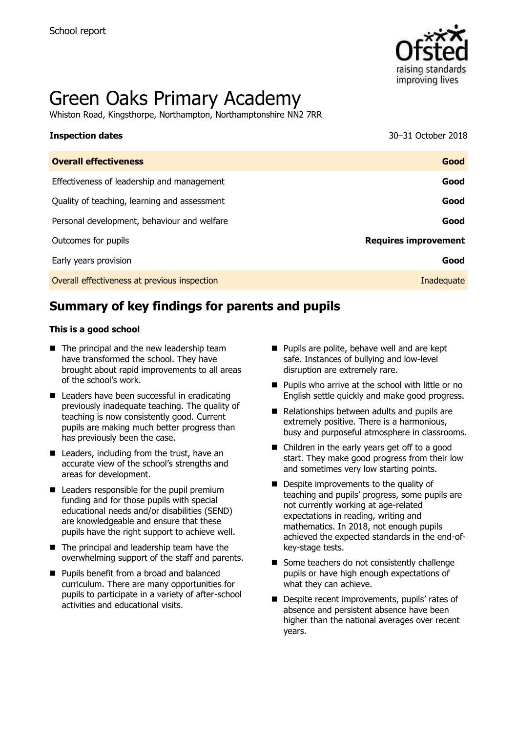

# Green Oaks Primary Academy

Whiston Road, Kingsthorpe, Northampton, Northamptonshire NN2 7RR

#### **Inspection dates** 30–31 October 2018

| <b>Overall effectiveness</b>                 | Good                        |
|----------------------------------------------|-----------------------------|
| Effectiveness of leadership and management   | Good                        |
| Quality of teaching, learning and assessment | Good                        |
| Personal development, behaviour and welfare  | Good                        |
| Outcomes for pupils                          | <b>Requires improvement</b> |
| Early years provision                        | Good                        |
| Overall effectiveness at previous inspection | Inadequate                  |
|                                              |                             |

# **Summary of key findings for parents and pupils**

#### **This is a good school**

- $\blacksquare$  The principal and the new leadership team have transformed the school. They have brought about rapid improvements to all areas of the school's work.
- Leaders have been successful in eradicating previously inadequate teaching. The quality of teaching is now consistently good. Current pupils are making much better progress than has previously been the case.
- $\blacksquare$  Leaders, including from the trust, have an accurate view of the school's strengths and areas for development.
- $\blacksquare$  Leaders responsible for the pupil premium funding and for those pupils with special educational needs and/or disabilities (SEND) are knowledgeable and ensure that these pupils have the right support to achieve well.
- The principal and leadership team have the overwhelming support of the staff and parents.
- **Pupils benefit from a broad and balanced** curriculum. There are many opportunities for pupils to participate in a variety of after-school activities and educational visits.
- **Pupils are polite, behave well and are kept** safe. Instances of bullying and low-level disruption are extremely rare.
- **Pupils who arrive at the school with little or no** English settle quickly and make good progress.
- Relationships between adults and pupils are extremely positive. There is a harmonious, busy and purposeful atmosphere in classrooms.
- Children in the early years get off to a good start. They make good progress from their low and sometimes very low starting points.
- Despite improvements to the quality of teaching and pupils' progress, some pupils are not currently working at age-related expectations in reading, writing and mathematics. In 2018, not enough pupils achieved the expected standards in the end-ofkey-stage tests.
- Some teachers do not consistently challenge pupils or have high enough expectations of what they can achieve.
- Despite recent improvements, pupils' rates of absence and persistent absence have been higher than the national averages over recent years.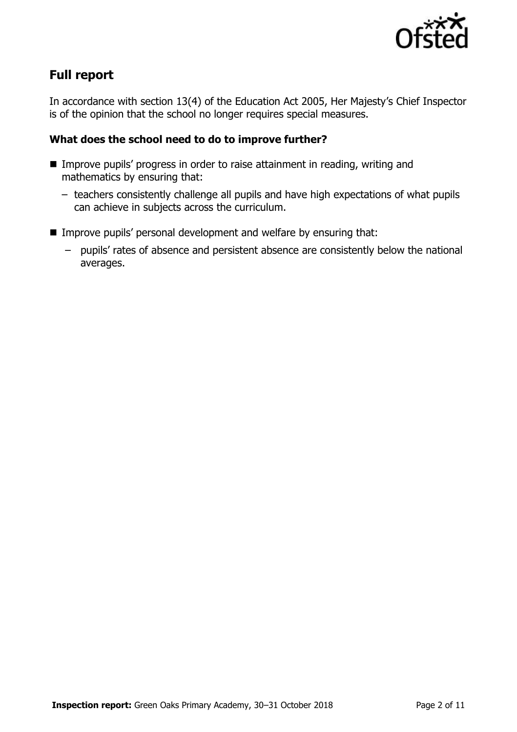

# **Full report**

In accordance with section 13(4) of the Education Act 2005, Her Majesty's Chief Inspector is of the opinion that the school no longer requires special measures.

### **What does the school need to do to improve further?**

- Improve pupils' progress in order to raise attainment in reading, writing and mathematics by ensuring that:
	- teachers consistently challenge all pupils and have high expectations of what pupils can achieve in subjects across the curriculum.
- Improve pupils' personal development and welfare by ensuring that:
	- pupils' rates of absence and persistent absence are consistently below the national averages.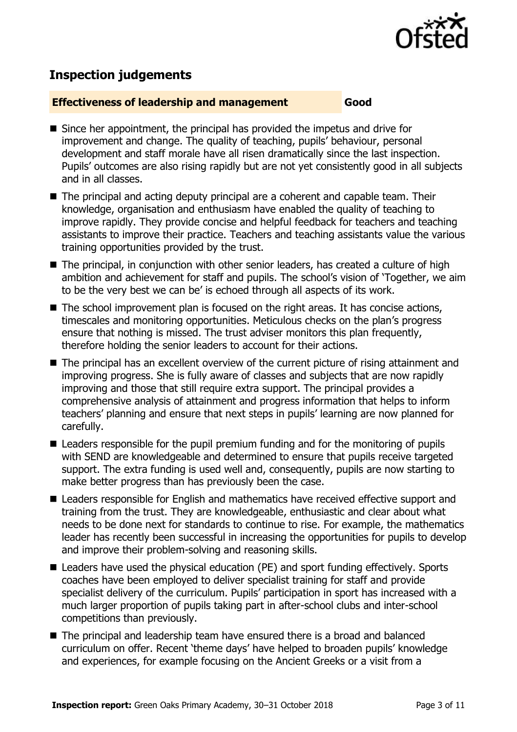

## **Inspection judgements**

#### **Effectiveness of leadership and management Good**

- Since her appointment, the principal has provided the impetus and drive for improvement and change. The quality of teaching, pupils' behaviour, personal development and staff morale have all risen dramatically since the last inspection. Pupils' outcomes are also rising rapidly but are not yet consistently good in all subjects and in all classes.
- The principal and acting deputy principal are a coherent and capable team. Their knowledge, organisation and enthusiasm have enabled the quality of teaching to improve rapidly. They provide concise and helpful feedback for teachers and teaching assistants to improve their practice. Teachers and teaching assistants value the various training opportunities provided by the trust.
- The principal, in conjunction with other senior leaders, has created a culture of high ambition and achievement for staff and pupils. The school's vision of 'Together, we aim to be the very best we can be' is echoed through all aspects of its work.
- $\blacksquare$  The school improvement plan is focused on the right areas. It has concise actions, timescales and monitoring opportunities. Meticulous checks on the plan's progress ensure that nothing is missed. The trust adviser monitors this plan frequently, therefore holding the senior leaders to account for their actions.
- The principal has an excellent overview of the current picture of rising attainment and improving progress. She is fully aware of classes and subjects that are now rapidly improving and those that still require extra support. The principal provides a comprehensive analysis of attainment and progress information that helps to inform teachers' planning and ensure that next steps in pupils' learning are now planned for carefully.
- Leaders responsible for the pupil premium funding and for the monitoring of pupils with SEND are knowledgeable and determined to ensure that pupils receive targeted support. The extra funding is used well and, consequently, pupils are now starting to make better progress than has previously been the case.
- Leaders responsible for English and mathematics have received effective support and training from the trust. They are knowledgeable, enthusiastic and clear about what needs to be done next for standards to continue to rise. For example, the mathematics leader has recently been successful in increasing the opportunities for pupils to develop and improve their problem-solving and reasoning skills.
- Leaders have used the physical education (PE) and sport funding effectively. Sports coaches have been employed to deliver specialist training for staff and provide specialist delivery of the curriculum. Pupils' participation in sport has increased with a much larger proportion of pupils taking part in after-school clubs and inter-school competitions than previously.
- The principal and leadership team have ensured there is a broad and balanced curriculum on offer. Recent 'theme days' have helped to broaden pupils' knowledge and experiences, for example focusing on the Ancient Greeks or a visit from a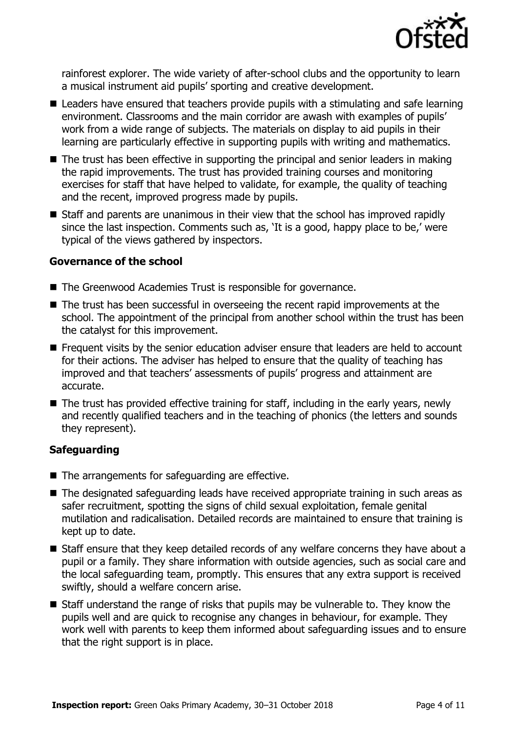

rainforest explorer. The wide variety of after-school clubs and the opportunity to learn a musical instrument aid pupils' sporting and creative development.

- Leaders have ensured that teachers provide pupils with a stimulating and safe learning environment. Classrooms and the main corridor are awash with examples of pupils' work from a wide range of subjects. The materials on display to aid pupils in their learning are particularly effective in supporting pupils with writing and mathematics.
- The trust has been effective in supporting the principal and senior leaders in making the rapid improvements. The trust has provided training courses and monitoring exercises for staff that have helped to validate, for example, the quality of teaching and the recent, improved progress made by pupils.
- Staff and parents are unanimous in their view that the school has improved rapidly since the last inspection. Comments such as, 'It is a good, happy place to be,' were typical of the views gathered by inspectors.

#### **Governance of the school**

- The Greenwood Academies Trust is responsible for governance.
- The trust has been successful in overseeing the recent rapid improvements at the school. The appointment of the principal from another school within the trust has been the catalyst for this improvement.
- Frequent visits by the senior education adviser ensure that leaders are held to account for their actions. The adviser has helped to ensure that the quality of teaching has improved and that teachers' assessments of pupils' progress and attainment are accurate.
- The trust has provided effective training for staff, including in the early years, newly and recently qualified teachers and in the teaching of phonics (the letters and sounds they represent).

#### **Safeguarding**

- The arrangements for safeguarding are effective.
- The designated safeguarding leads have received appropriate training in such areas as safer recruitment, spotting the signs of child sexual exploitation, female genital mutilation and radicalisation. Detailed records are maintained to ensure that training is kept up to date.
- Staff ensure that they keep detailed records of any welfare concerns they have about a pupil or a family. They share information with outside agencies, such as social care and the local safeguarding team, promptly. This ensures that any extra support is received swiftly, should a welfare concern arise.
- Staff understand the range of risks that pupils may be vulnerable to. They know the pupils well and are quick to recognise any changes in behaviour, for example. They work well with parents to keep them informed about safeguarding issues and to ensure that the right support is in place.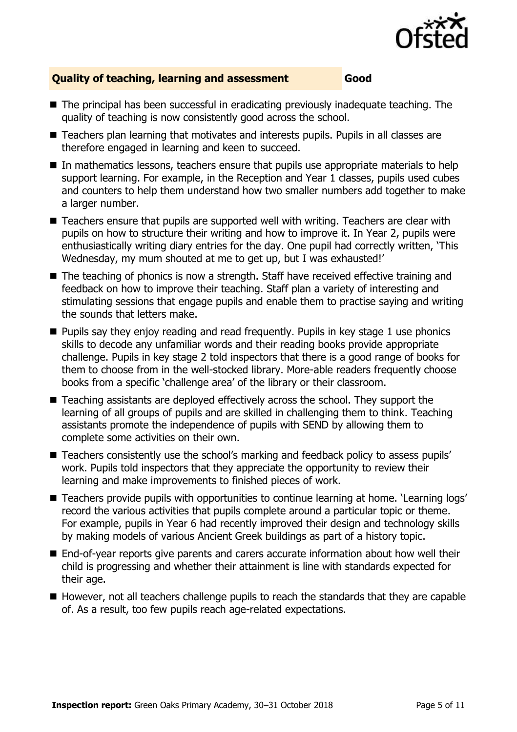

### **Quality of teaching, learning and assessment Good**

- The principal has been successful in eradicating previously inadequate teaching. The quality of teaching is now consistently good across the school.
- Teachers plan learning that motivates and interests pupils. Pupils in all classes are therefore engaged in learning and keen to succeed.
- In mathematics lessons, teachers ensure that pupils use appropriate materials to help support learning. For example, in the Reception and Year 1 classes, pupils used cubes and counters to help them understand how two smaller numbers add together to make a larger number.
- Teachers ensure that pupils are supported well with writing. Teachers are clear with pupils on how to structure their writing and how to improve it. In Year 2, pupils were enthusiastically writing diary entries for the day. One pupil had correctly written, 'This Wednesday, my mum shouted at me to get up, but I was exhausted!'
- The teaching of phonics is now a strength. Staff have received effective training and feedback on how to improve their teaching. Staff plan a variety of interesting and stimulating sessions that engage pupils and enable them to practise saying and writing the sounds that letters make.
- $\blacksquare$  Pupils say they enjoy reading and read frequently. Pupils in key stage 1 use phonics skills to decode any unfamiliar words and their reading books provide appropriate challenge. Pupils in key stage 2 told inspectors that there is a good range of books for them to choose from in the well-stocked library. More-able readers frequently choose books from a specific 'challenge area' of the library or their classroom.
- Teaching assistants are deployed effectively across the school. They support the learning of all groups of pupils and are skilled in challenging them to think. Teaching assistants promote the independence of pupils with SEND by allowing them to complete some activities on their own.
- Teachers consistently use the school's marking and feedback policy to assess pupils' work. Pupils told inspectors that they appreciate the opportunity to review their learning and make improvements to finished pieces of work.
- Teachers provide pupils with opportunities to continue learning at home. 'Learning logs' record the various activities that pupils complete around a particular topic or theme. For example, pupils in Year 6 had recently improved their design and technology skills by making models of various Ancient Greek buildings as part of a history topic.
- End-of-year reports give parents and carers accurate information about how well their child is progressing and whether their attainment is line with standards expected for their age.
- However, not all teachers challenge pupils to reach the standards that they are capable of. As a result, too few pupils reach age-related expectations.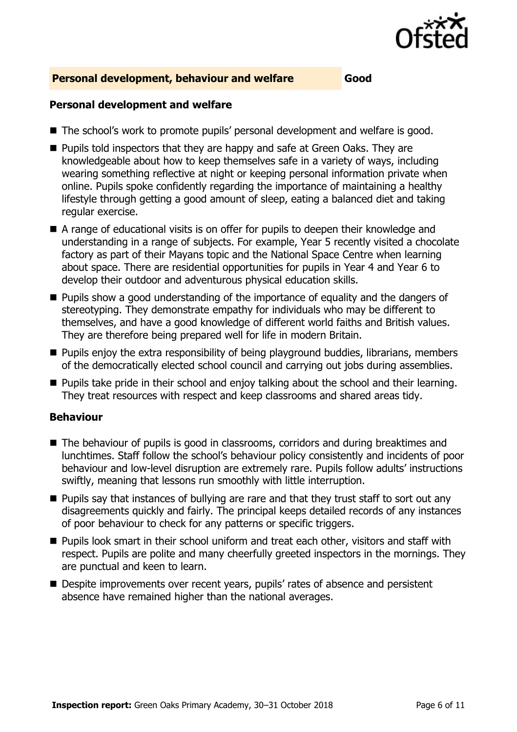

#### **Personal development, behaviour and welfare Good**

### **Personal development and welfare**

- The school's work to promote pupils' personal development and welfare is good.
- **Pupils told inspectors that they are happy and safe at Green Oaks. They are** knowledgeable about how to keep themselves safe in a variety of ways, including wearing something reflective at night or keeping personal information private when online. Pupils spoke confidently regarding the importance of maintaining a healthy lifestyle through getting a good amount of sleep, eating a balanced diet and taking regular exercise.
- A range of educational visits is on offer for pupils to deepen their knowledge and understanding in a range of subjects. For example, Year 5 recently visited a chocolate factory as part of their Mayans topic and the National Space Centre when learning about space. There are residential opportunities for pupils in Year 4 and Year 6 to develop their outdoor and adventurous physical education skills.
- **Pupils show a good understanding of the importance of equality and the dangers of** stereotyping. They demonstrate empathy for individuals who may be different to themselves, and have a good knowledge of different world faiths and British values. They are therefore being prepared well for life in modern Britain.
- **Pupils enjoy the extra responsibility of being playground buddies, librarians, members** of the democratically elected school council and carrying out jobs during assemblies.
- **Pupils take pride in their school and enjoy talking about the school and their learning.** They treat resources with respect and keep classrooms and shared areas tidy.

#### **Behaviour**

- The behaviour of pupils is good in classrooms, corridors and during breaktimes and lunchtimes. Staff follow the school's behaviour policy consistently and incidents of poor behaviour and low-level disruption are extremely rare. Pupils follow adults' instructions swiftly, meaning that lessons run smoothly with little interruption.
- **Pupils say that instances of bullying are rare and that they trust staff to sort out any** disagreements quickly and fairly. The principal keeps detailed records of any instances of poor behaviour to check for any patterns or specific triggers.
- **Pupils look smart in their school uniform and treat each other, visitors and staff with** respect. Pupils are polite and many cheerfully greeted inspectors in the mornings. They are punctual and keen to learn.
- Despite improvements over recent years, pupils' rates of absence and persistent absence have remained higher than the national averages.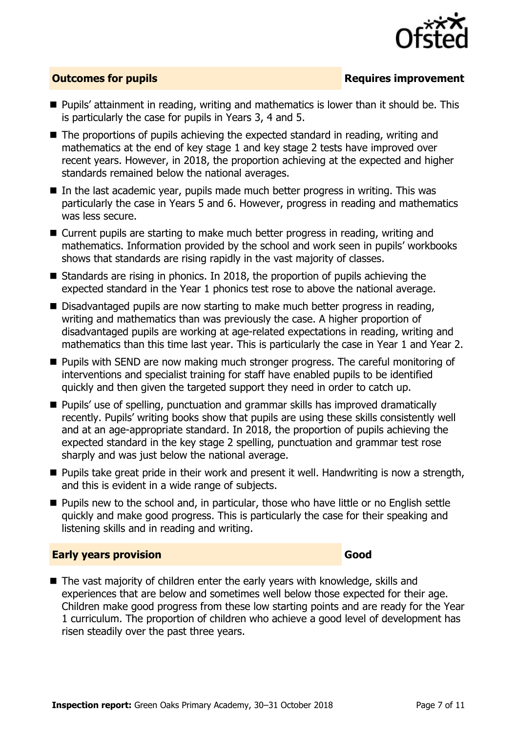

### **Outcomes for pupils Requires improvement**

- **Pupils' attainment in reading, writing and mathematics is lower than it should be. This** is particularly the case for pupils in Years 3, 4 and 5.
- The proportions of pupils achieving the expected standard in reading, writing and mathematics at the end of key stage 1 and key stage 2 tests have improved over recent years. However, in 2018, the proportion achieving at the expected and higher standards remained below the national averages.
- In the last academic year, pupils made much better progress in writing. This was particularly the case in Years 5 and 6. However, progress in reading and mathematics was less secure.
- Current pupils are starting to make much better progress in reading, writing and mathematics. Information provided by the school and work seen in pupils' workbooks shows that standards are rising rapidly in the vast majority of classes.
- Standards are rising in phonics. In 2018, the proportion of pupils achieving the expected standard in the Year 1 phonics test rose to above the national average.
- Disadvantaged pupils are now starting to make much better progress in reading, writing and mathematics than was previously the case. A higher proportion of disadvantaged pupils are working at age-related expectations in reading, writing and mathematics than this time last year. This is particularly the case in Year 1 and Year 2.
- **Pupils with SEND are now making much stronger progress. The careful monitoring of** interventions and specialist training for staff have enabled pupils to be identified quickly and then given the targeted support they need in order to catch up.
- Pupils' use of spelling, punctuation and grammar skills has improved dramatically recently. Pupils' writing books show that pupils are using these skills consistently well and at an age-appropriate standard. In 2018, the proportion of pupils achieving the expected standard in the key stage 2 spelling, punctuation and grammar test rose sharply and was just below the national average.
- **Pupils take great pride in their work and present it well. Handwriting is now a strength,** and this is evident in a wide range of subjects.
- **Pupils new to the school and, in particular, those who have little or no English settle** quickly and make good progress. This is particularly the case for their speaking and listening skills and in reading and writing.

#### **Early years provision Good Good**

■ The vast majority of children enter the early years with knowledge, skills and experiences that are below and sometimes well below those expected for their age. Children make good progress from these low starting points and are ready for the Year 1 curriculum. The proportion of children who achieve a good level of development has risen steadily over the past three years.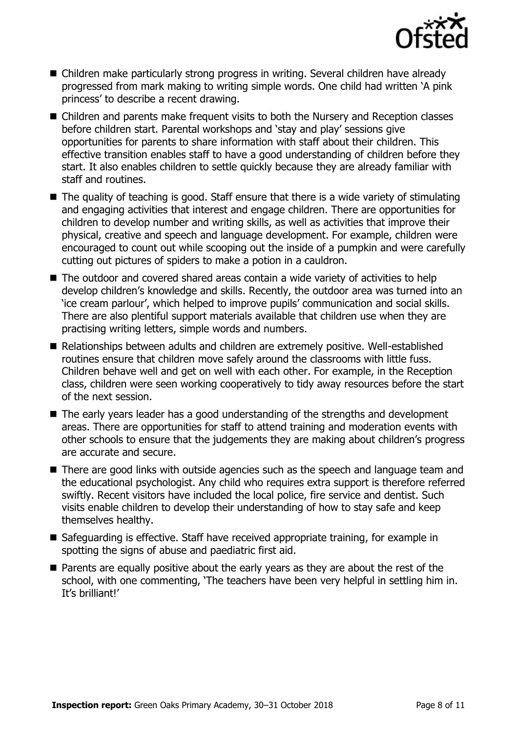

- Children make particularly strong progress in writing. Several children have already progressed from mark making to writing simple words. One child had written 'A pink princess' to describe a recent drawing.
- Children and parents make frequent visits to both the Nursery and Reception classes before children start. Parental workshops and 'stay and play' sessions give opportunities for parents to share information with staff about their children. This effective transition enables staff to have a good understanding of children before they start. It also enables children to settle quickly because they are already familiar with staff and routines.
- $\blacksquare$  The quality of teaching is good. Staff ensure that there is a wide variety of stimulating and engaging activities that interest and engage children. There are opportunities for children to develop number and writing skills, as well as activities that improve their physical, creative and speech and language development. For example, children were encouraged to count out while scooping out the inside of a pumpkin and were carefully cutting out pictures of spiders to make a potion in a cauldron.
- The outdoor and covered shared areas contain a wide variety of activities to help develop children's knowledge and skills. Recently, the outdoor area was turned into an 'ice cream parlour', which helped to improve pupils' communication and social skills. There are also plentiful support materials available that children use when they are practising writing letters, simple words and numbers.
- Relationships between adults and children are extremely positive. Well-established routines ensure that children move safely around the classrooms with little fuss. Children behave well and get on well with each other. For example, in the Reception class, children were seen working cooperatively to tidy away resources before the start of the next session.
- The early years leader has a good understanding of the strengths and development areas. There are opportunities for staff to attend training and moderation events with other schools to ensure that the judgements they are making about children's progress are accurate and secure.
- There are good links with outside agencies such as the speech and language team and the educational psychologist. Any child who requires extra support is therefore referred swiftly. Recent visitors have included the local police, fire service and dentist. Such visits enable children to develop their understanding of how to stay safe and keep themselves healthy.
- Safeguarding is effective. Staff have received appropriate training, for example in spotting the signs of abuse and paediatric first aid.
- **Parents are equally positive about the early years as they are about the rest of the** school, with one commenting, 'The teachers have been very helpful in settling him in. It's brilliant!'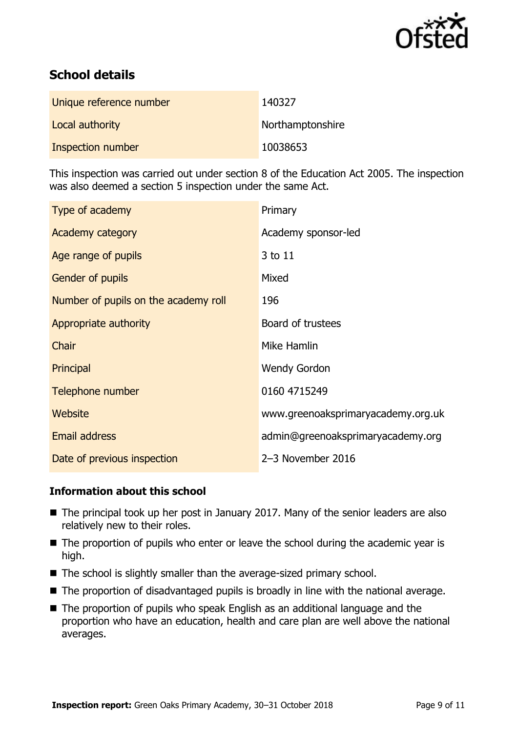

# **School details**

| Unique reference number | 140327           |
|-------------------------|------------------|
| Local authority         | Northamptonshire |
| Inspection number       | 10038653         |

This inspection was carried out under section 8 of the Education Act 2005. The inspection was also deemed a section 5 inspection under the same Act.

| Type of academy                      | Primary                            |
|--------------------------------------|------------------------------------|
| Academy category                     | Academy sponsor-led                |
| Age range of pupils                  | 3 to 11                            |
| <b>Gender of pupils</b>              | Mixed                              |
| Number of pupils on the academy roll | 196                                |
| Appropriate authority                | Board of trustees                  |
| <b>Chair</b>                         | Mike Hamlin                        |
| Principal                            | <b>Wendy Gordon</b>                |
| Telephone number                     | 0160 4715249                       |
| <b>Website</b>                       | www.greenoaksprimaryacademy.org.uk |
| <b>Email address</b>                 | admin@greenoaksprimaryacademy.org  |
| Date of previous inspection          | 2-3 November 2016                  |

### **Information about this school**

- The principal took up her post in January 2017. Many of the senior leaders are also relatively new to their roles.
- $\blacksquare$  The proportion of pupils who enter or leave the school during the academic year is high.
- The school is slightly smaller than the average-sized primary school.
- The proportion of disadvantaged pupils is broadly in line with the national average.
- The proportion of pupils who speak English as an additional language and the proportion who have an education, health and care plan are well above the national averages.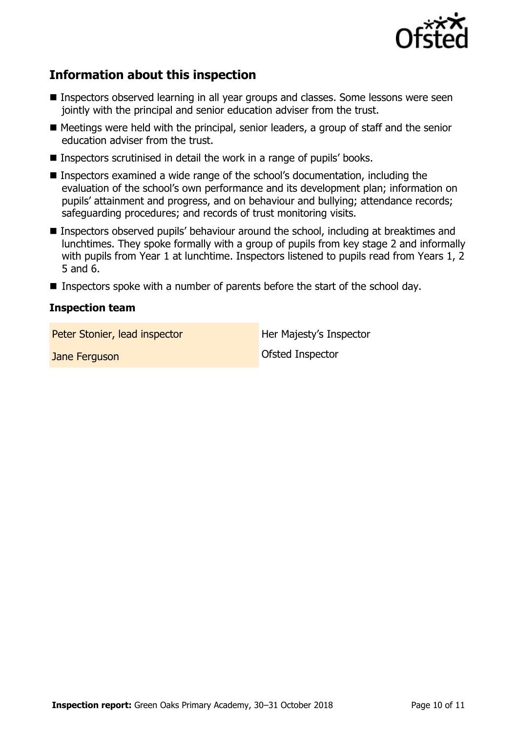

# **Information about this inspection**

- **Inspectors observed learning in all year groups and classes. Some lessons were seen** jointly with the principal and senior education adviser from the trust.
- Meetings were held with the principal, senior leaders, a group of staff and the senior education adviser from the trust.
- Inspectors scrutinised in detail the work in a range of pupils' books.
- Inspectors examined a wide range of the school's documentation, including the evaluation of the school's own performance and its development plan; information on pupils' attainment and progress, and on behaviour and bullying; attendance records; safeguarding procedures; and records of trust monitoring visits.
- Inspectors observed pupils' behaviour around the school, including at breaktimes and lunchtimes. They spoke formally with a group of pupils from key stage 2 and informally with pupils from Year 1 at lunchtime. Inspectors listened to pupils read from Years 1, 2 5 and 6.
- **Inspectors spoke with a number of parents before the start of the school day.**

#### **Inspection team**

Peter Stonier, lead inspector and Her Majesty's Inspector

**Jane Ferguson Contract Contract Contract Contract Contract Contract Contract Contract Contract Contract Contract Contract Contract Contract Contract Contract Contract Contract Contract Contract Contract Contract Contrac** 

**Inspection report:** Green Oaks Primary Academy, 30-31 October 2018 Page 10 of [11](#page-10-0)